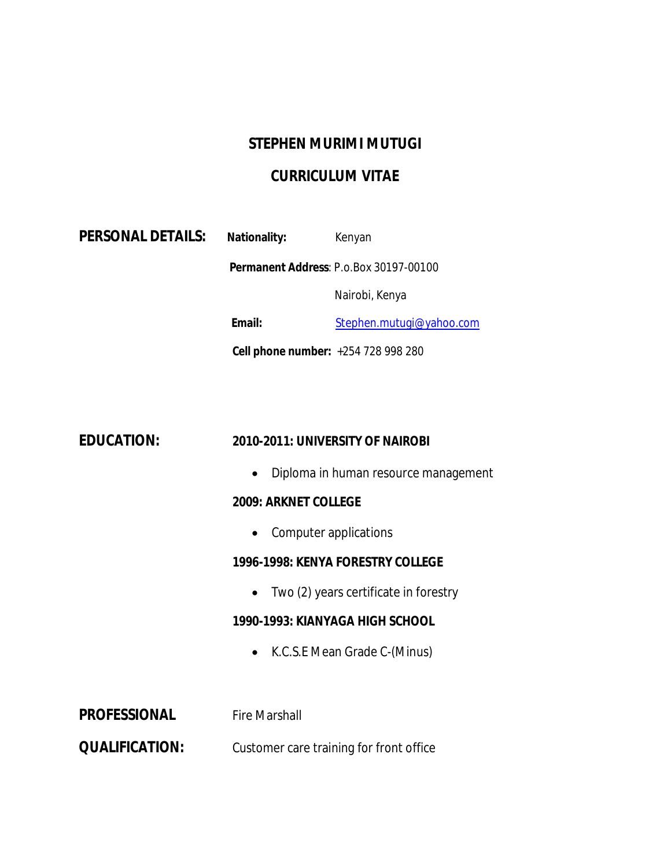# **STEPHEN MURIMI MUTUGI**

### **CURRICULUM VITAE**

| <b>PERSONAL DETAILS:</b> | <b>Nationality:</b>                                                                                                                                         | Kenyan                                |  |
|--------------------------|-------------------------------------------------------------------------------------------------------------------------------------------------------------|---------------------------------------|--|
|                          | Permanent Address: P.o.Box 30197-00100                                                                                                                      |                                       |  |
|                          |                                                                                                                                                             | Nairobi, Kenya                        |  |
|                          | Email:                                                                                                                                                      | Stephen.mutugi@yahoo.com              |  |
|                          | Cell phone number: +254 728 998 280                                                                                                                         |                                       |  |
|                          |                                                                                                                                                             |                                       |  |
|                          |                                                                                                                                                             |                                       |  |
| <b>EDUCATION:</b>        | 2010-2011: UNIVERSITY OF NAIROBI                                                                                                                            |                                       |  |
|                          | Diploma in human resource management<br>$\bullet$<br><b>2009: ARKNET COLLEGE</b><br>Computer applications<br>$\bullet$<br>1996-1998: KENYA FORESTRY COLLEGE |                                       |  |
|                          |                                                                                                                                                             |                                       |  |
|                          |                                                                                                                                                             |                                       |  |
|                          |                                                                                                                                                             |                                       |  |
|                          | $\bullet$                                                                                                                                                   | Two (2) years certificate in forestry |  |
|                          | 1990-1993: KIANYAGA HIGH SCHOOL                                                                                                                             |                                       |  |
|                          | $\bullet$                                                                                                                                                   | K.C.S.E Mean Grade C-(Minus)          |  |
|                          |                                                                                                                                                             |                                       |  |
| <b>PROFESSIONAL</b>      | <b>Fire Marshall</b>                                                                                                                                        |                                       |  |
| <b>QUALIFICATION:</b>    | Customer care training for front office                                                                                                                     |                                       |  |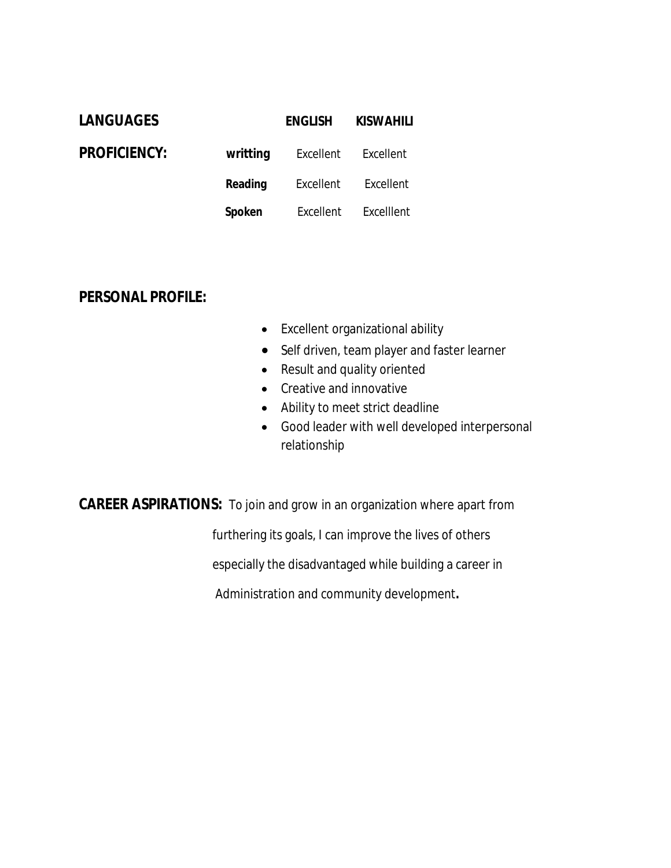| <b>LANGUAGES</b>    |               | <b>ENGLISH</b> | <b>KISWAHILI</b> |
|---------------------|---------------|----------------|------------------|
| <b>PROFICIENCY:</b> | writting      | Excellent      | Excellent        |
|                     | Reading       | Excellent      | Excellent        |
|                     | <b>Spoken</b> | Excellent      | Excelllent       |

### **PERSONAL PROFILE:**

- Excellent organizational ability
- Self driven, team player and faster learner
- Result and quality oriented
- Creative and innovative
- Ability to meet strict deadline
- Good leader with well developed interpersonal relationship

**CAREER ASPIRATIONS:** To join and grow in an organization where apart from

furthering its goals, I can improve the lives of others

especially the disadvantaged while building a career in

Administration and community development**.**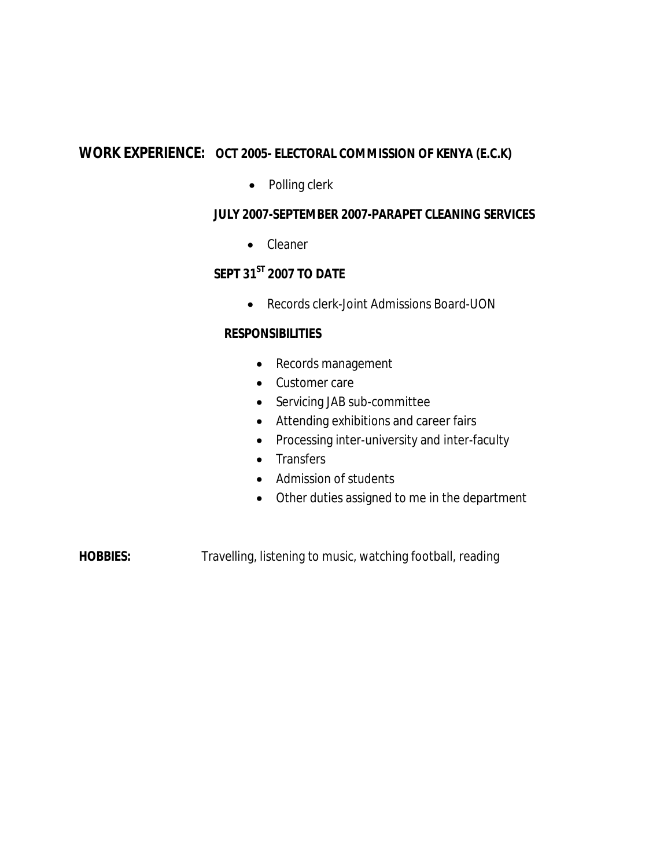## **WORK EXPERIENCE: OCT 2005- ELECTORAL COMMISSION OF KENYA (E.C.K)**

• Polling clerk

#### **JULY 2007-SEPTEMBER 2007-PARAPET CLEANING SERVICES**

• Cleaner

### **SEPT 31ST 2007 TO DATE**

Records clerk-Joint Admissions Board-UON

#### **RESPONSIBILITIES**

- Records management
- Customer care
- Servicing JAB sub-committee
- Attending exhibitions and career fairs
- Processing inter-university and inter-faculty
- Transfers
- Admission of students
- Other duties assigned to me in the department

**HOBBIES:** Travelling, listening to music, watching football, reading